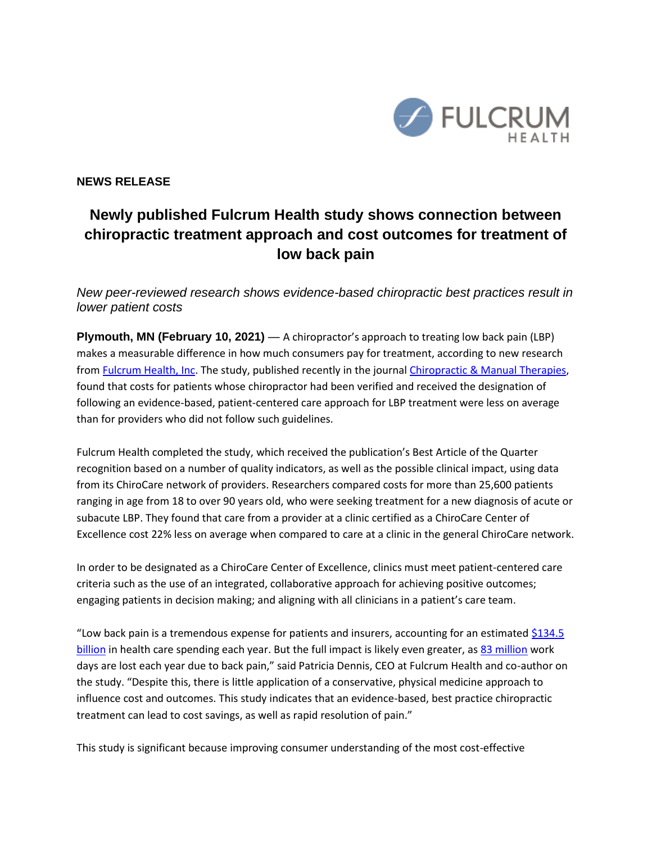

**NEWS RELEASE**

## **Newly published Fulcrum Health study shows connection between chiropractic treatment approach and cost outcomes for treatment of low back pain**

*New peer-reviewed research shows evidence-based chiropractic best practices result in lower patient costs* 

**Plymouth, MN (February 10, 2021)** — A chiropractor's approach to treating low back pain (LBP) makes a measurable difference in how much consumers pay for treatment, according to new research from [Fulcrum Health, Inc.](https://www.fulcrumhealthinc.org/) The study, published recently in the journa[l Chiropractic & Manual Therapies,](https://chiromt.biomedcentral.com/articles/10.1186/s12998-020-00356-z) found that costs for patients whose chiropractor had been verified and received the designation of following an evidence-based, patient-centered care approach for LBP treatment were less on average than for providers who did not follow such guidelines.

Fulcrum Health completed the study, which received the publication's Best Article of the Quarter recognition based on a number of quality indicators, as well as the possible clinical impact, using data from its ChiroCare network of providers. Researchers compared costs for more than 25,600 patients ranging in age from 18 to over 90 years old, who were seeking treatment for a new diagnosis of acute or subacute LBP. They found that care from a provider at a clinic certified as a ChiroCare Center of Excellence cost 22% less on average when compared to care at a clinic in the general ChiroCare network.

In order to be designated as a ChiroCare Center of Excellence, clinics must meet patient-centered care criteria such as the use of an integrated, collaborative approach for achieving positive outcomes; engaging patients in decision making; and aligning with all clinicians in a patient's care team.

"Low back pain is a tremendous expense for patients and insurers, accounting for an estimated [\\$134.5](https://jamanetwork.com/journals/jama/fullarticle/2762309)  [billion](https://jamanetwork.com/journals/jama/fullarticle/2762309) in health care spending each year. But the full impact is likely even greater, as [83 million](https://hpi.georgetown.edu/backpain/) work days are lost each year due to back pain," said Patricia Dennis, CEO at Fulcrum Health and co-author on the study. "Despite this, there is little application of a conservative, physical medicine approach to influence cost and outcomes. This study indicates that an evidence-based, best practice chiropractic treatment can lead to cost savings, as well as rapid resolution of pain."

This study is significant because improving consumer understanding of the most cost-effective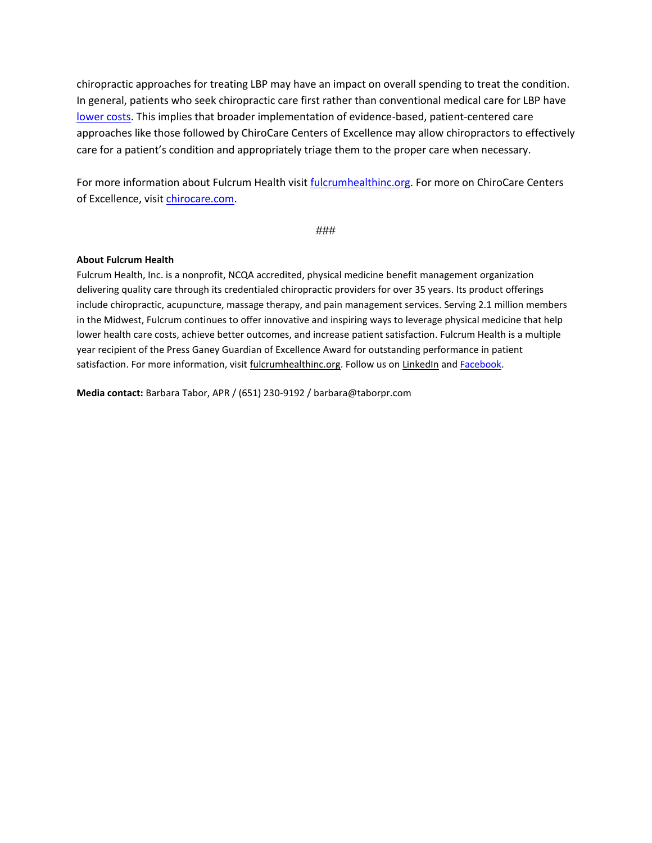chiropractic approaches for treating LBP may have an impact on overall spending to treat the condition. In general, patients who seek chiropractic care first rather than conventional medical care for LBP have [lower costs.](https://www.jmptonline.org/article/S0161-4754(16)00007-5/fulltext) This implies that broader implementation of evidence-based, patient-centered care approaches like those followed by ChiroCare Centers of Excellence may allow chiropractors to effectively care for a patient's condition and appropriately triage them to the proper care when necessary.

For more information about Fulcrum Health visit [fulcrumhealthinc.org.](https://www.fulcrumhealthinc.org/) For more on ChiroCare Centers of Excellence, visit [chirocare.com.](https://www.chirocare.com/chiropractic-practice-management/spine-centers-excellence-new-approach-treating-low-back-pain/)

###

## **About Fulcrum Health**

Fulcrum Health, Inc. is a nonprofit, NCQA accredited, physical medicine benefit management organization delivering quality care through its credentialed chiropractic providers for over 35 years. Its product offerings include chiropractic, acupuncture, massage therapy, and pain management services. Serving 2.1 million members in the Midwest, Fulcrum continues to offer innovative and inspiring ways to leverage physical medicine that help lower health care costs, achieve better outcomes, and increase patient satisfaction. Fulcrum Health is a multiple year recipient of the Press Ganey Guardian of Excellence Award for outstanding performance in patient satisfaction. For more information, visi[t fulcrumhealthinc.org.](https://www.fulcrumhealthinc.org/) Follow us on [LinkedIn](https://www.linkedin.com/company/fulcrum-health-inc./) and [Facebook.](https://www.facebook.com/ChiroCare-367233294120/)

**Media contact:** Barbara Tabor, APR / (651) 230-9192 / barbara@taborpr.com